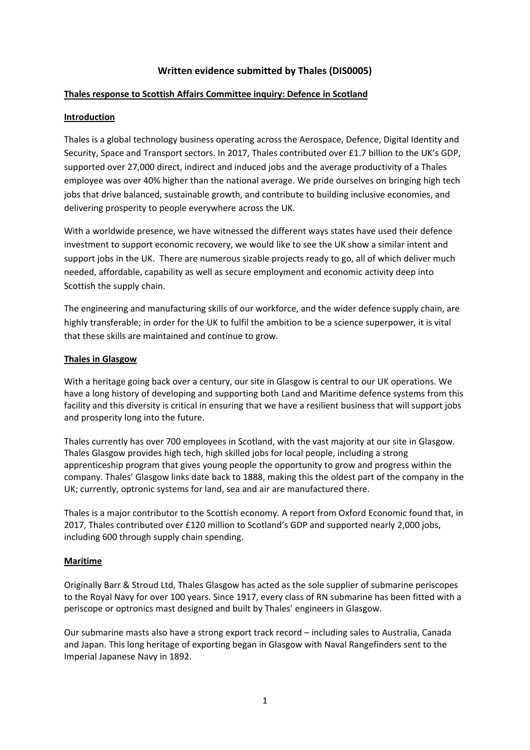# **Written evidence submitted by Thales (DIS0005)**

### **Thales response to Scottish Affairs Committee inquiry: Defence in Scotland**

### **Introduction**

Thales is a global technology business operating across the Aerospace, Defence, Digital Identity and Security, Space and Transport sectors. In 2017, Thales contributed over £1.7 billion to the UK's GDP, supported over 27,000 direct, indirect and induced jobs and the average productivity of a Thales employee was over 40% higher than the national average. We pride ourselves on bringing high tech jobs that drive balanced, sustainable growth, and contribute to building inclusive economies, and delivering prosperity to people everywhere across the UK.

With a worldwide presence, we have witnessed the different ways states have used their defence investment to support economic recovery, we would like to see the UK show a similar intent and support jobs in the UK. There are numerous sizable projects ready to go, all of which deliver much needed, affordable, capability as well as secure employment and economic activity deep into Scottish the supply chain.

The engineering and manufacturing skills of our workforce, and the wider defence supply chain, are highly transferable; in order for the UK to fulfil the ambition to be a science superpower, it is vital that these skills are maintained and continue to grow.

### **Thales in Glasgow**

With a heritage going back over a century, our site in Glasgow is central to our UK operations. We have a long history of developing and supporting both Land and Maritime defence systems from this facility and this diversity is critical in ensuring that we have a resilient business that will support jobs and prosperity long into the future.

Thales currently has over 700 employees in Scotland, with the vast majority at our site in Glasgow. Thales Glasgow provides high tech, high skilled jobs for local people, including a strong apprenticeship program that gives young people the opportunity to grow and progress within the company. Thales' Glasgow links date back to 1888, making this the oldest part of the company in the UK; currently, optronic systems for land, sea and air are manufactured there.

Thales is a major contributor to the Scottish economy. A report from Oxford Economic found that, in 2017, Thales contributed over £120 million to Scotland's GDP and supported nearly 2,000 jobs, including 600 through supply chain spending.

#### **Maritime**

Originally Barr & Stroud Ltd, Thales Glasgow has acted as the sole supplier of submarine periscopes to the Royal Navy for over 100 years. Since 1917, every class of RN submarine has been fitted with a periscope or optronics mast designed and built by Thales' engineers in Glasgow.

Our submarine masts also have a strong export track record – including sales to Australia, Canada and Japan. This long heritage of exporting began in Glasgow with Naval Rangefinders sent to the Imperial Japanese Navy in 1892.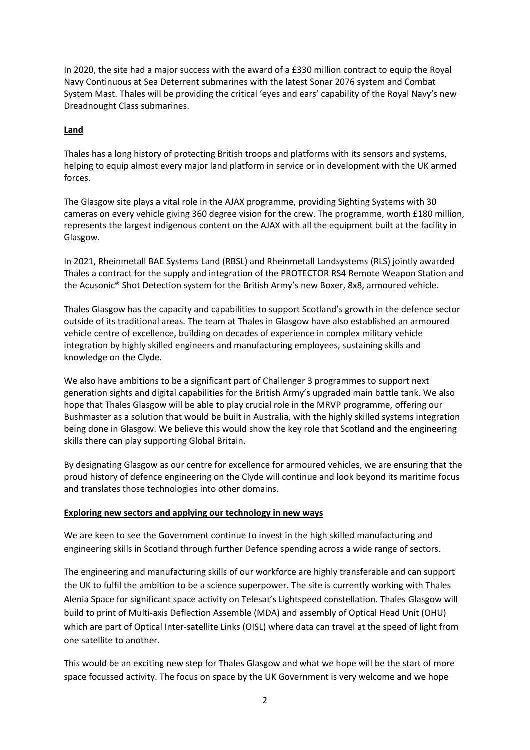In 2020, the site had a major success with the award of a £330 million contract to equip the Royal Navy Continuous at Sea Deterrent submarines with the latest Sonar 2076 system and Combat System Mast. Thales will be providing the critical 'eyes and ears' capability of the Royal Navy's new Dreadnought Class submarines.

## **Land**

Thales has a long history of protecting British troops and platforms with its sensors and systems, helping to equip almost every major land platform in service or in development with the UK armed forces.

The Glasgow site plays a vital role in the AJAX programme, providing Sighting Systems with 30 cameras on every vehicle giving 360 degree vision for the crew. The programme, worth £180 million, represents the largest indigenous content on the AJAX with all the equipment built at the facility in Glasgow.

In 2021, Rheinmetall BAE Systems Land (RBSL) and Rheinmetall Landsystems (RLS) jointly awarded Thales a contract for the supply and integration of the PROTECTOR RS4 Remote Weapon Station and the Acusonic® Shot Detection system for the British Army's new Boxer, 8x8, armoured vehicle.

Thales Glasgow has the capacity and capabilities to support Scotland's growth in the defence sector outside of its traditional areas. The team at Thales in Glasgow have also established an armoured vehicle centre of excellence, building on decades of experience in complex military vehicle integration by highly skilled engineers and manufacturing employees, sustaining skills and knowledge on the Clyde.

We also have ambitions to be a significant part of Challenger 3 programmes to support next generation sights and digital capabilities for the British Army's upgraded main battle tank. We also hope that Thales Glasgow will be able to play crucial role in the MRVP programme, offering our Bushmaster as a solution that would be built in Australia, with the highly skilled systems integration being done in Glasgow. We believe this would show the key role that Scotland and the engineering skills there can play supporting Global Britain.

By designating Glasgow as our centre for excellence for armoured vehicles, we are ensuring that the proud history of defence engineering on the Clyde will continue and look beyond its maritime focus and translates those technologies into other domains.

#### **Exploring new sectors and applying our technology in new ways**

We are keen to see the Government continue to invest in the high skilled manufacturing and engineering skills in Scotland through further Defence spending across a wide range of sectors.

The engineering and manufacturing skills of our workforce are highly transferable and can support the UK to fulfil the ambition to be a science superpower. The site is currently working with Thales Alenia Space for significant space activity on Telesat's Lightspeed constellation. Thales Glasgow will build to print of Multi-axis Deflection Assemble (MDA) and assembly of Optical Head Unit (OHU) which are part of Optical Inter-satellite Links (OISL) where data can travel at the speed of light from one satellite to another.

This would be an exciting new step for Thales Glasgow and what we hope will be the start of more space focussed activity. The focus on space by the UK Government is very welcome and we hope